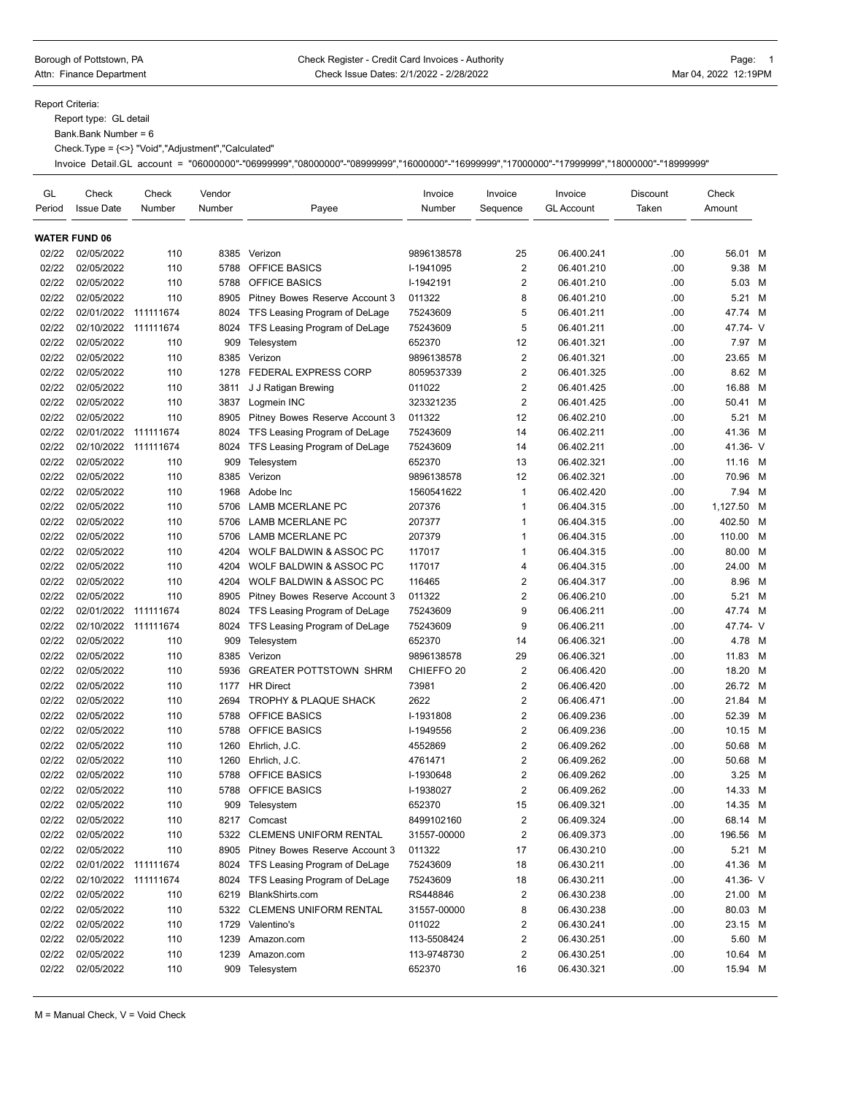## Borough of Pottstown, PA **Check Register - Credit Card Invoices - Authority** Page: 1 Attn: Finance Department **Check Issue Dates: 2/1/2022 - 2/28/2022** Mar 04, 2022 12:19PM

Report Criteria:

Report type: GL detail

Bank.Bank Number = 6

Check.Type = {<>} "Void","Adjustment","Calculated"

Invoice Detail.GL account = "06000000"-"06999999","08000000"-"08999999","16000000"-"16999999","17000000"-"17999999","18000000"-"18999999"

| GL<br>Period | Check<br><b>Issue Date</b> | Check<br>Number | Vendor<br>Number | Payee                          | Invoice<br>Number     | Invoice<br>Sequence     | Invoice<br><b>GL Account</b> | <b>Discount</b><br>Taken | Check<br>Amount |   |
|--------------|----------------------------|-----------------|------------------|--------------------------------|-----------------------|-------------------------|------------------------------|--------------------------|-----------------|---|
|              | <b>WATER FUND 06</b>       |                 |                  |                                |                       |                         |                              |                          |                 |   |
| 02/22        | 02/05/2022                 | 110             | 8385             | Verizon                        | 9896138578            | 25                      | 06.400.241                   | .00                      | 56.01 M         |   |
| 02/22        | 02/05/2022                 | 110             | 5788             | OFFICE BASICS                  | I-1941095             | $\overline{2}$          | 06.401.210                   | .00                      | 9.38            | M |
| 02/22        | 02/05/2022                 | 110             | 5788             | <b>OFFICE BASICS</b>           | I-1942191             | $\overline{2}$          | 06.401.210                   | .00                      | 5.03 M          |   |
| 02/22        | 02/05/2022                 | 110             | 8905             | Pitney Bowes Reserve Account 3 | 011322                | 8                       | 06.401.210                   | .00                      | 5.21            | M |
| 02/22        | 02/01/2022                 | 111111674       | 8024             | TFS Leasing Program of DeLage  | 75243609              | 5                       | 06.401.211                   | .00                      | 47.74 M         |   |
| 02/22        | 02/10/2022                 | 111111674       | 8024             | TFS Leasing Program of DeLage  | 75243609              | 5                       | 06.401.211                   | .00                      | 47.74- V        |   |
| 02/22        | 02/05/2022                 | 110             | 909              | Telesystem                     | 652370                | 12                      | 06.401.321                   | .00                      | 7.97 M          |   |
| 02/22        | 02/05/2022                 | 110             | 8385             | Verizon                        | 9896138578            | $\overline{\mathbf{c}}$ | 06.401.321                   | .00                      | 23.65 M         |   |
| 02/22        | 02/05/2022                 | 110             | 1278             | <b>FEDERAL EXPRESS CORP</b>    | 8059537339            | $\overline{2}$          | 06.401.325                   | .00                      | 8.62 M          |   |
| 02/22        | 02/05/2022                 | 110             | 3811             | J J Ratigan Brewing            | 011022                | $\overline{2}$          | 06.401.425                   | .00                      | 16.88 M         |   |
| 02/22        | 02/05/2022                 | 110             | 3837             | Logmein INC                    | 323321235             | $\overline{2}$          | 06.401.425                   | .00                      | 50.41 M         |   |
| 02/22        | 02/05/2022                 | 110             | 8905             | Pitney Bowes Reserve Account 3 | 011322                | 12                      | 06.402.210                   | .00                      | 5.21 M          |   |
| 02/22        | 02/01/2022                 | 111111674       | 8024             | TFS Leasing Program of DeLage  | 75243609              | 14                      | 06.402.211                   | .00                      | 41.36 M         |   |
| 02/22        | 02/10/2022                 | 111111674       | 8024             | TFS Leasing Program of DeLage  | 75243609              | 14                      | 06.402.211                   | .00                      | 41.36- V        |   |
| 02/22        | 02/05/2022                 | 110             | 909              | Telesystem                     | 652370                | 13                      | 06.402.321                   | .00                      | 11.16 M         |   |
| 02/22        | 02/05/2022                 | 110             | 8385             | Verizon                        | 9896138578            | 12                      | 06.402.321                   | .00                      | 70.96 M         |   |
| 02/22        | 02/05/2022                 | 110             | 1968             | Adobe Inc                      | 1560541622            | $\mathbf{1}$            | 06.402.420                   | .00                      | 7.94 M          |   |
| 02/22        | 02/05/2022                 | 110             | 5706             | LAMB MCERLANE PC               | 207376                | 1                       | 06.404.315                   | .00                      | 1,127.50 M      |   |
| 02/22        | 02/05/2022                 | 110             | 5706             | <b>LAMB MCERLANE PC</b>        | 207377                | $\mathbf{1}$            | 06.404.315                   | .00                      | 402.50          | M |
| 02/22        | 02/05/2022                 | 110             | 5706             | LAMB MCERLANE PC               | 207379                | $\mathbf{1}$            | 06.404.315                   | .00                      | 110.00          | M |
| 02/22        | 02/05/2022                 | 110             | 4204             | WOLF BALDWIN & ASSOC PC        | 117017                | $\mathbf{1}$            | 06.404.315                   | .00                      | 80.00 M         |   |
| 02/22        | 02/05/2022                 | 110             | 4204             | WOLF BALDWIN & ASSOC PC        | 117017                | $\overline{4}$          | 06.404.315                   | .00                      | 24.00 M         |   |
| 02/22        | 02/05/2022                 | 110             | 4204             | WOLF BALDWIN & ASSOC PC        | 116465                | $\overline{\mathbf{c}}$ | 06.404.317                   | .00                      | 8.96            | M |
| 02/22        | 02/05/2022                 | 110             | 8905             | Pitney Bowes Reserve Account 3 | 011322                | $\sqrt{2}$              | 06.406.210                   | .00                      | 5.21            | м |
| 02/22        | 02/01/2022                 | 111111674       | 8024             | TFS Leasing Program of DeLage  | 75243609              | 9                       | 06.406.211                   | .00                      | 47.74 M         |   |
| 02/22        | 02/10/2022                 | 111111674       | 8024             | TFS Leasing Program of DeLage  | 75243609              | 9                       | 06.406.211                   | .00                      | 47.74- V        |   |
| 02/22        | 02/05/2022                 | 110             | 909              | Telesystem                     | 652370                | 14                      | 06.406.321                   | .00                      | 4.78 M          |   |
| 02/22        | 02/05/2022                 | 110             | 8385             | Verizon                        | 9896138578            | 29                      | 06.406.321                   | .00                      | 11.83 M         |   |
| 02/22        | 02/05/2022                 | 110             | 5936             | <b>GREATER POTTSTOWN SHRM</b>  | CHIEFFO <sub>20</sub> | $\overline{\mathbf{c}}$ | 06.406.420                   | .00                      | 18.20 M         |   |
| 02/22        | 02/05/2022                 | 110             | 1177             | <b>HR Direct</b>               | 73981                 | $\overline{2}$          | 06.406.420                   | .00                      | 26.72 M         |   |
| 02/22        | 02/05/2022                 | 110             | 2694             | TROPHY & PLAQUE SHACK          | 2622                  | $\overline{2}$          | 06.406.471                   | .00                      | 21.84 M         |   |
| 02/22        | 02/05/2022                 | 110             | 5788             | OFFICE BASICS                  | I-1931808             | $\overline{2}$          | 06.409.236                   | .00                      | 52.39 M         |   |
| 02/22        | 02/05/2022                 | 110             | 5788             | OFFICE BASICS                  | I-1949556             | $\overline{c}$          | 06.409.236                   | .00                      | 10.15 M         |   |
| 02/22        | 02/05/2022                 | 110             | 1260             | Ehrlich, J.C.                  | 4552869               | $\overline{2}$          | 06.409.262                   | .00                      | 50.68 M         |   |
| 02/22        | 02/05/2022                 | 110             | 1260             | Ehrlich, J.C.                  | 4761471               | $\overline{2}$          | 06.409.262                   | .00                      | 50.68 M         |   |
| 02/22        | 02/05/2022                 | 110             | 5788             | OFFICE BASICS                  | I-1930648             | $\overline{\mathbf{c}}$ | 06.409.262                   | .00                      | 3.25            | M |
| 02/22        | 02/05/2022                 | 110             | 5788             | <b>OFFICE BASICS</b>           | I-1938027             | $\overline{2}$          | 06.409.262                   | .00                      | 14.33 M         |   |
| 02/22        | 02/05/2022                 | 110             | 909              | Telesystem                     | 652370                | 15                      | 06.409.321                   | .00                      | 14.35 M         |   |
| 02/22        | 02/05/2022                 | 110             |                  | 8217 Comcast                   | 8499102160            | 2                       | 06.409.324                   | .00                      | 68.14 M         |   |
| 02/22        | 02/05/2022                 | 110             | 5322             | <b>CLEMENS UNIFORM RENTAL</b>  | 31557-00000           | $\overline{\mathbf{c}}$ | 06.409.373                   | .00                      | 196.56 M        |   |
| 02/22        | 02/05/2022                 | 110             | 8905             | Pitney Bowes Reserve Account 3 | 011322                | 17                      | 06.430.210                   | .00                      | 5.21 M          |   |
| 02/22        | 02/01/2022 111111674       |                 | 8024             | TFS Leasing Program of DeLage  | 75243609              | 18                      | 06.430.211                   | .00                      | 41.36 M         |   |
| 02/22        | 02/10/2022 111111674       |                 | 8024             | TFS Leasing Program of DeLage  | 75243609              | 18                      | 06.430.211                   | .00                      | 41.36- V        |   |
| 02/22        | 02/05/2022                 | 110             | 6219             | BlankShirts.com                | RS448846              | $\overline{\mathbf{c}}$ | 06.430.238                   | .00                      | 21.00 M         |   |
| 02/22        | 02/05/2022                 | 110             | 5322             | <b>CLEMENS UNIFORM RENTAL</b>  | 31557-00000           | 8                       | 06.430.238                   | .00                      | 80.03 M         |   |
| 02/22        | 02/05/2022                 | 110             | 1729             | Valentino's                    | 011022                | $\overline{\mathbf{c}}$ | 06.430.241                   | .00                      | 23.15 M         |   |
| 02/22        | 02/05/2022                 | 110             | 1239             | Amazon.com                     | 113-5508424           | $\overline{\mathbf{c}}$ | 06.430.251                   | .00                      | 5.60 M          |   |
| 02/22        | 02/05/2022                 | 110             | 1239             | Amazon.com                     | 113-9748730           | $\overline{\mathbf{c}}$ | 06.430.251                   | .00                      | 10.64 M         |   |
| 02/22        | 02/05/2022                 | 110             | 909              | Telesystem                     | 652370                | 16                      | 06.430.321                   | .00                      | 15.94 M         |   |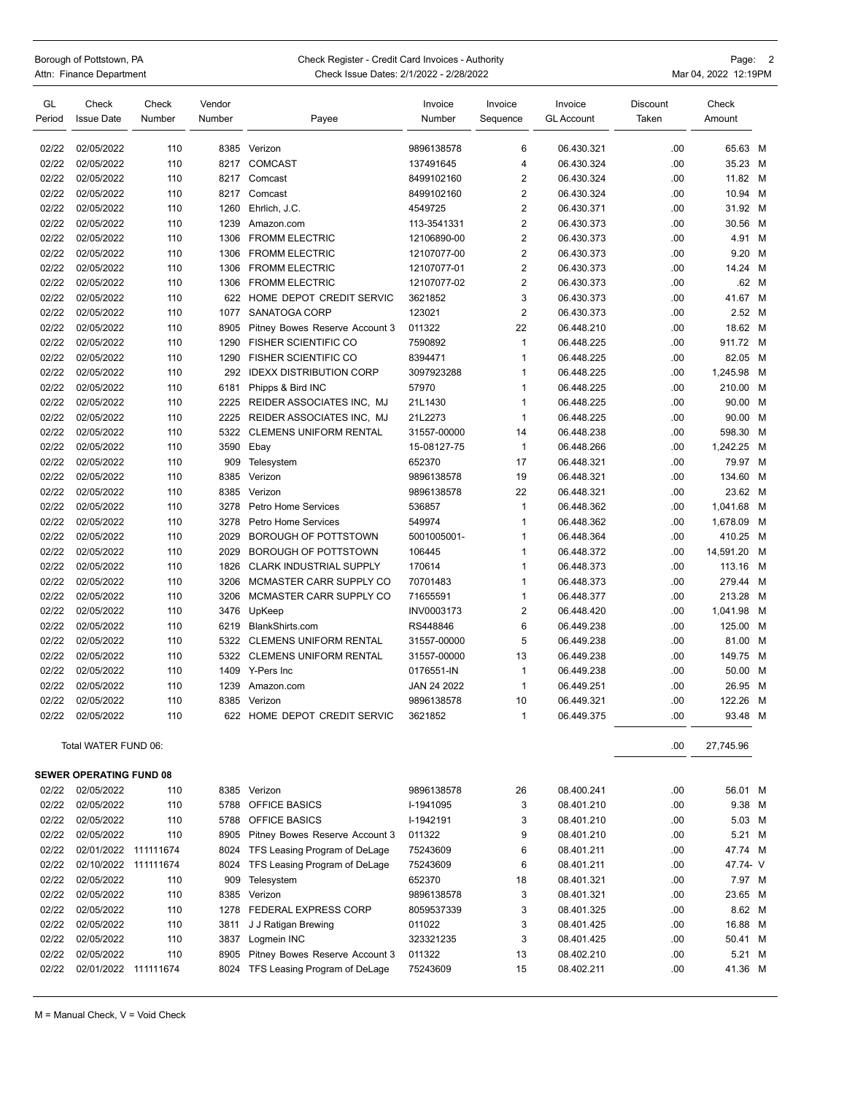| Borough of Pottstown, PA |                          |  |  |  |  |  |
|--------------------------|--------------------------|--|--|--|--|--|
|                          | Attn: Finance Department |  |  |  |  |  |

## Check Register - Credit Card Invoices - Authority **Check Register - Credit Card Invoices - Authority** Page: 2 epartment **Example 2021** Check Issue Dates: 2/1/2022 - 2/28/2022 **Attack 2021** Mar 04, 2022 12:19PM

| GL     | Check                          | Check  | Vendor |                                    | Invoice     | Invoice        | Invoice           | Discount | Check     |   |
|--------|--------------------------------|--------|--------|------------------------------------|-------------|----------------|-------------------|----------|-----------|---|
| Period | <b>Issue Date</b>              | Number | Number | Payee                              | Number      | Sequence       | <b>GL Account</b> | Taken    | Amount    |   |
| 02/22  | 02/05/2022                     | 110    |        | 8385 Verizon                       | 9896138578  | 6              | 06.430.321        | .00      | 65.63 M   |   |
| 02/22  | 02/05/2022                     | 110    | 8217   | <b>COMCAST</b>                     | 137491645   | $\overline{4}$ | 06.430.324        | .00      | 35.23 M   |   |
| 02/22  | 02/05/2022                     | 110    | 8217   | Comcast                            | 8499102160  | 2              | 06.430.324        | .00      | 11.82 M   |   |
| 02/22  | 02/05/2022                     | 110    | 8217   | Comcast                            | 8499102160  | $\overline{2}$ | 06.430.324        | .00.     | 10.94 M   |   |
| 02/22  | 02/05/2022                     | 110    | 1260   | Ehrlich, J.C.                      | 4549725     | $\overline{2}$ | 06.430.371        | .00      | 31.92 M   |   |
| 02/22  | 02/05/2022                     | 110    | 1239   | Amazon.com                         | 113-3541331 | $\overline{2}$ | 06.430.373        | .00      | 30.56 M   |   |
| 02/22  | 02/05/2022                     | 110    | 1306   | <b>FROMM ELECTRIC</b>              | 12106890-00 | $\overline{2}$ | 06.430.373        | .00      | 4.91 M    |   |
| 02/22  | 02/05/2022                     | 110    | 1306   | <b>FROMM ELECTRIC</b>              | 12107077-00 | $\overline{2}$ | 06.430.373        | .00      | 9.20 M    |   |
| 02/22  | 02/05/2022                     | 110    | 1306   | <b>FROMM ELECTRIC</b>              | 12107077-01 | $\overline{2}$ | 06.430.373        | .00      | 14.24     | M |
| 02/22  | 02/05/2022                     | 110    | 1306   | <b>FROMM ELECTRIC</b>              | 12107077-02 | $\overline{2}$ | 06.430.373        | .00      | .62 M     |   |
| 02/22  | 02/05/2022                     | 110    | 622    | HOME DEPOT CREDIT SERVIC           | 3621852     | 3              | 06.430.373        | .00      | 41.67 M   |   |
| 02/22  | 02/05/2022                     | 110    | 1077   | SANATOGA CORP                      | 123021      | $\overline{2}$ | 06.430.373        | .00      | 2.52 M    |   |
| 02/22  | 02/05/2022                     | 110    | 8905   | Pitney Bowes Reserve Account 3     | 011322      | 22             | 06.448.210        | .00      | 18.62 M   |   |
| 02/22  | 02/05/2022                     | 110    | 1290   | <b>FISHER SCIENTIFIC CO</b>        | 7590892     | $\mathbf{1}$   | 06.448.225        | .00      | 911.72 M  |   |
| 02/22  | 02/05/2022                     | 110    | 1290   | <b>FISHER SCIENTIFIC CO</b>        | 8394471     | $\mathbf{1}$   | 06.448.225        | .00      | 82.05 M   |   |
| 02/22  | 02/05/2022                     | 110    | 292    | <b>IDEXX DISTRIBUTION CORP</b>     | 3097923288  | 1              | 06.448.225        | .00      | 1,245.98  | M |
| 02/22  | 02/05/2022                     | 110    | 6181   | Phipps & Bird INC                  | 57970       | -1             | 06.448.225        | .00      | 210.00 M  |   |
| 02/22  | 02/05/2022                     | 110    | 2225   | REIDER ASSOCIATES INC, MJ          | 21L1430     | $\mathbf{1}$   | 06.448.225        | .00      | 90.00 M   |   |
| 02/22  | 02/05/2022                     | 110    | 2225   | <b>REIDER ASSOCIATES INC. MJ</b>   | 21L2273     | $\overline{1}$ | 06.448.225        | .00      | 90.00 M   |   |
| 02/22  | 02/05/2022                     | 110    | 5322   | <b>CLEMENS UNIFORM RENTAL</b>      | 31557-00000 | 14             | 06.448.238        | .00      | 598.30 M  |   |
| 02/22  | 02/05/2022                     | 110    | 3590   | Ebay                               | 15-08127-75 | $\mathbf{1}$   | 06.448.266        | .00      | 1,242.25  | M |
| 02/22  | 02/05/2022                     | 110    | 909    | Telesystem                         | 652370      | 17             | 06.448.321        | .00      | 79.97 M   |   |
| 02/22  | 02/05/2022                     | 110    | 8385   | Verizon                            | 9896138578  | 19             | 06.448.321        | .00      | 134.60 M  |   |
| 02/22  | 02/05/2022                     | 110    | 8385   | Verizon                            | 9896138578  | 22             | 06.448.321        | .00      | 23.62 M   |   |
| 02/22  | 02/05/2022                     | 110    | 3278   | Petro Home Services                | 536857      | $\mathbf{1}$   | 06.448.362        | .00      | 1,041.68  | M |
| 02/22  | 02/05/2022                     | 110    | 3278   | Petro Home Services                | 549974      | -1             | 06.448.362        | .00      | 1,678.09  | M |
| 02/22  | 02/05/2022                     | 110    | 2029   | BOROUGH OF POTTSTOWN               | 5001005001- | $\mathbf{1}$   | 06.448.364        | .00      | 410.25 M  |   |
| 02/22  | 02/05/2022                     | 110    | 2029   | BOROUGH OF POTTSTOWN               | 106445      | $\mathbf{1}$   | 06.448.372        | .00      | 14,591.20 | M |
| 02/22  | 02/05/2022                     | 110    | 1826   | <b>CLARK INDUSTRIAL SUPPLY</b>     | 170614      | $\mathbf 1$    | 06.448.373        | .00      | 113.16    | M |
| 02/22  | 02/05/2022                     | 110    | 3206   | MCMASTER CARR SUPPLY CO            | 70701483    | $\mathbf{1}$   | 06.448.373        | .00      | 279.44    | M |
| 02/22  | 02/05/2022                     | 110    | 3206   | MCMASTER CARR SUPPLY CO            | 71655591    | -1             | 06.448.377        | .00      | 213.28    | M |
| 02/22  | 02/05/2022                     | 110    | 3476   | UpKeep                             | INV0003173  | $\overline{2}$ | 06.448.420        | .00      | 1,041.98  | M |
| 02/22  | 02/05/2022                     | 110    | 6219   | BlankShirts.com                    | RS448846    | 6              | 06.449.238        | .00      | 125.00 M  |   |
| 02/22  | 02/05/2022                     | 110    | 5322   | <b>CLEMENS UNIFORM RENTAL</b>      | 31557-00000 | 5              | 06.449.238        | .00      | 81.00 M   |   |
| 02/22  | 02/05/2022                     | 110    | 5322   | <b>CLEMENS UNIFORM RENTAL</b>      | 31557-00000 | 13             | 06.449.238        | .00      | 149.75 M  |   |
| 02/22  | 02/05/2022                     | 110    | 1409   | Y-Pers Inc                         | 0176551-IN  | $\mathbf{1}$   | 06.449.238        | .00      | 50.00 M   |   |
| 02/22  | 02/05/2022                     | 110    | 1239   | Amazon.com                         | JAN 24 2022 | $\mathbf{1}$   | 06.449.251        | .00      | 26.95     | M |
| 02/22  | 02/05/2022                     | 110    | 8385   | Verizon                            | 9896138578  | 10             | 06.449.321        | .00      | 122.26    | M |
|        | 02/22 02/05/2022               | 110    |        | 622 HOME DEPOT CREDIT SERVIC       | 3621852     | $\mathbf{1}$   | 06.449.375        | .00.     | 93.48 M   |   |
|        |                                |        |        |                                    |             |                |                   |          |           |   |
|        | Total WATER FUND 06:           |        |        |                                    |             |                |                   | .00.     | 27,745.96 |   |
|        | <b>SEWER OPERATING FUND 08</b> |        |        |                                    |             |                |                   |          |           |   |
| 02/22  | 02/05/2022                     | 110    |        | 8385 Verizon                       | 9896138578  | 26             | 08.400.241        | .00      | 56.01 M   |   |
| 02/22  | 02/05/2022                     | 110    | 5788   | OFFICE BASICS                      | I-1941095   | 3              | 08.401.210        | .00      | 9.38 M    |   |
| 02/22  | 02/05/2022                     | 110    |        | 5788 OFFICE BASICS                 | I-1942191   | 3              | 08.401.210        | .00      | 5.03 M    |   |
| 02/22  | 02/05/2022                     | 110    | 8905   | Pitney Bowes Reserve Account 3     | 011322      | 9              | 08.401.210        | .00      | 5.21 M    |   |
| 02/22  | 02/01/2022 111111674           |        |        | 8024 TFS Leasing Program of DeLage | 75243609    | 6              | 08.401.211        | .00      | 47.74 M   |   |
| 02/22  | 02/10/2022 111111674           |        | 8024   | TFS Leasing Program of DeLage      | 75243609    | 6              | 08.401.211        | .00.     | 47.74- V  |   |
| 02/22  | 02/05/2022                     | 110    | 909    | Telesystem                         | 652370      | 18             | 08.401.321        | .00      | 7.97 M    |   |
| 02/22  | 02/05/2022                     | 110    | 8385   | Verizon                            | 9896138578  | 3              | 08.401.321        | .00      | 23.65 M   |   |
| 02/22  | 02/05/2022                     | 110    | 1278   | <b>FEDERAL EXPRESS CORP</b>        | 8059537339  | 3              | 08.401.325        | .00      | 8.62 M    |   |
| 02/22  | 02/05/2022                     | 110    | 3811   | J J Ratigan Brewing                | 011022      | 3              | 08.401.425        | .00      | 16.88 M   |   |
| 02/22  | 02/05/2022                     | 110    | 3837   | Logmein INC                        | 323321235   | 3              | 08.401.425        | .00.     | 50.41 M   |   |
| 02/22  | 02/05/2022                     | 110    | 8905   | Pitney Bowes Reserve Account 3     | 011322      | 13             |                   | .00      | 5.21 M    |   |
| 02/22  |                                |        |        |                                    | 75243609    | 15             | 08.402.210        | .00      | 41.36 M   |   |
|        | 02/01/2022 111111674           |        |        | 8024 TFS Leasing Program of DeLage |             |                | 08.402.211        |          |           |   |

M = Manual Check, V = Void Check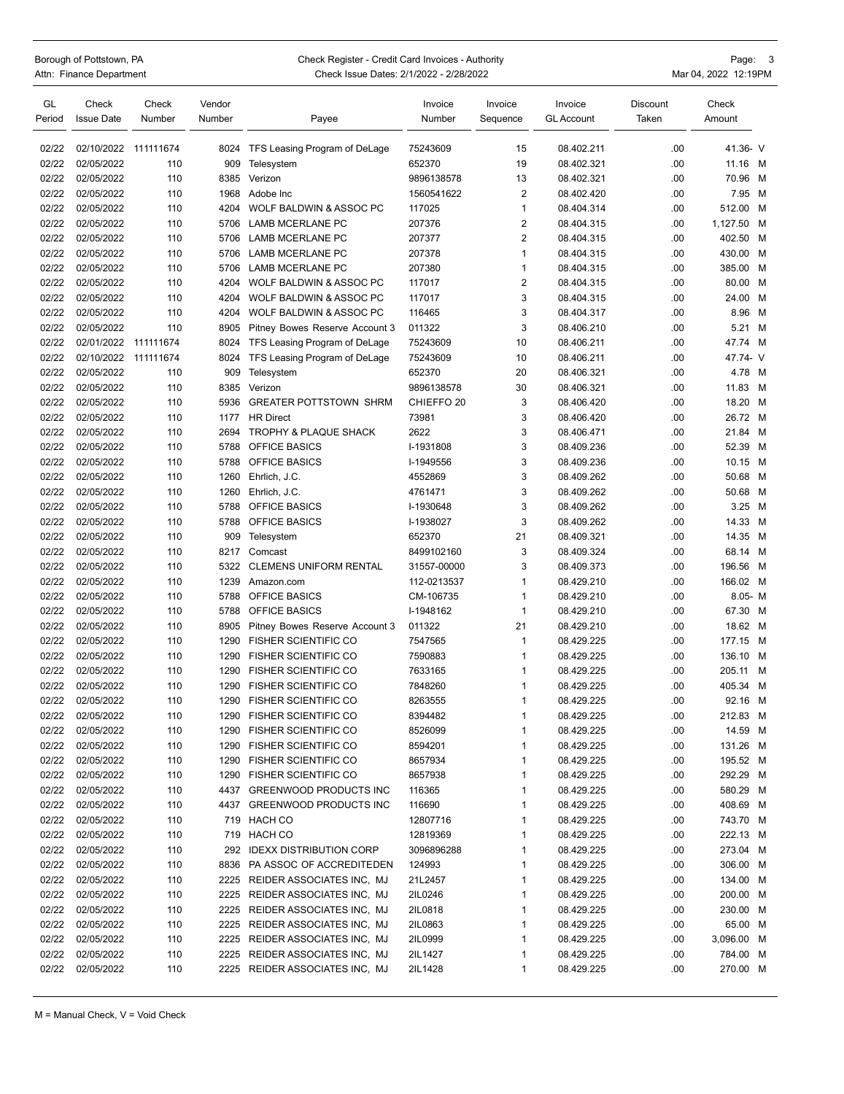Borough of Pottstown, PA Check Register - Credit Card Invoices - Authority Page: 3<br>Attn: Finance Department Check Issue Dates: 2/1/2022 - 2/28/2022

Check Issue Dates: 2/1/2022 - 2/28/2022 Mar 04, 2022 12:19PM

| GL<br>Period | Check<br><b>Issue Date</b> | Check<br>Number | Vendor<br>Number | Payee                                                  | Invoice<br>Number     | Invoice<br>Sequence     | Invoice<br><b>GL Account</b> | <b>Discount</b><br>Taken | Check<br>Amount      |   |
|--------------|----------------------------|-----------------|------------------|--------------------------------------------------------|-----------------------|-------------------------|------------------------------|--------------------------|----------------------|---|
| 02/22        | 02/10/2022                 | 111111674       | 8024             | TFS Leasing Program of DeLage                          | 75243609              | 15                      | 08.402.211                   | .00                      | 41.36- V             |   |
| 02/22        | 02/05/2022                 | 110             | 909              | Telesystem                                             | 652370                | 19                      | 08.402.321                   | .00                      | 11.16 M              |   |
| 02/22        | 02/05/2022                 | 110             | 8385             | Verizon                                                | 9896138578            | 13                      | 08.402.321                   | .00                      | 70.96                | M |
| 02/22        | 02/05/2022                 | 110             | 1968             | Adobe Inc                                              | 1560541622            | $\overline{2}$          | 08.402.420                   | .00                      | 7.95 M               |   |
| 02/22        | 02/05/2022                 | 110             | 4204             | WOLF BALDWIN & ASSOC PC                                | 117025                | $\mathbf{1}$            | 08.404.314                   | .00                      | 512.00               | M |
| 02/22        | 02/05/2022                 | 110             | 5706             | LAMB MCERLANE PC                                       | 207376                | $\sqrt{2}$              | 08.404.315                   | .00                      | 1,127.50             | M |
| 02/22        | 02/05/2022                 | 110             | 5706             | LAMB MCERLANE PC                                       | 207377                | $\overline{2}$          | 08.404.315                   | .00                      | 402.50               | M |
| 02/22        | 02/05/2022                 | 110             | 5706             | <b>LAMB MCERLANE PC</b>                                | 207378                | $\mathbf{1}$            | 08.404.315                   | .00                      | 430.00 M             |   |
| 02/22        | 02/05/2022                 | 110             | 5706             | LAMB MCERLANE PC                                       | 207380                | $\mathbf{1}$            | 08.404.315                   | .00                      | 385.00               | M |
| 02/22        | 02/05/2022                 | 110             | 4204             | WOLF BALDWIN & ASSOC PC                                | 117017                | $\overline{\mathbf{c}}$ | 08.404.315                   | .00                      | 80.00 M              |   |
| 02/22        | 02/05/2022                 | 110             | 4204             | WOLF BALDWIN & ASSOC PC                                | 117017                | 3                       | 08.404.315                   | .00                      | 24.00                | M |
| 02/22        | 02/05/2022                 | 110             | 4204             | WOLF BALDWIN & ASSOC PC                                | 116465                | 3                       | 08.404.317                   | .00                      | 8.96                 | M |
| 02/22        | 02/05/2022                 | 110             | 8905             | Pitney Bowes Reserve Account 3                         | 011322                | 3                       | 08.406.210                   | .00                      | 5.21 M               |   |
| 02/22        | 02/01/2022 111111674       |                 | 8024             | TFS Leasing Program of DeLage                          | 75243609              | 10                      | 08.406.211                   | .00                      | 47.74 M              |   |
| 02/22        | 02/10/2022                 | 111111674       | 8024             | TFS Leasing Program of DeLage                          | 75243609              | 10                      | 08.406.211                   | .00                      | 47.74- V             |   |
| 02/22        | 02/05/2022                 | 110             | 909              | Telesystem                                             | 652370                | 20                      | 08.406.321                   | .00                      | 4.78 M               |   |
| 02/22        | 02/05/2022                 | 110             | 8385             | Verizon                                                | 9896138578            | 30                      | 08.406.321                   | .00                      | 11.83                | M |
| 02/22        | 02/05/2022                 | 110             | 5936             | <b>GREATER POTTSTOWN SHRM</b>                          | CHIEFFO <sub>20</sub> | 3                       | 08.406.420                   | .00                      | 18.20                | M |
| 02/22        | 02/05/2022                 | 110             | 1177             | <b>HR Direct</b>                                       | 73981                 | 3                       | 08.406.420                   | .00                      | 26.72 M              |   |
| 02/22        | 02/05/2022                 | 110             | 2694             | TROPHY & PLAQUE SHACK                                  | 2622                  | 3                       | 08.406.471                   | .00                      | 21.84 M              |   |
| 02/22        | 02/05/2022                 | 110             | 5788             | <b>OFFICE BASICS</b>                                   | I-1931808             | 3                       | 08.409.236                   | .00                      | 52.39                | M |
| 02/22        | 02/05/2022                 | 110             | 5788             | <b>OFFICE BASICS</b>                                   | I-1949556             | 3                       | 08.409.236                   | .00                      | 10.15 M              |   |
| 02/22        | 02/05/2022                 | 110             | 1260             | Ehrlich, J.C.                                          | 4552869               | 3                       | 08.409.262                   | .00                      | 50.68                | M |
| 02/22        | 02/05/2022                 | 110             | 1260             | Ehrlich, J.C.                                          | 4761471               | 3                       | 08.409.262                   | .00                      | 50.68                | M |
| 02/22        | 02/05/2022                 | 110             | 5788             | <b>OFFICE BASICS</b>                                   | I-1930648             | 3                       | 08.409.262                   | .00                      | 3.25 M               |   |
| 02/22        | 02/05/2022                 | 110             | 5788             | OFFICE BASICS                                          | I-1938027             | 3                       | 08.409.262                   | .00                      | 14.33 M              |   |
| 02/22        | 02/05/2022                 | 110             | 909              | Telesystem                                             | 652370                | 21                      | 08.409.321                   | .00                      | 14.35 M              |   |
| 02/22        | 02/05/2022                 | 110             | 8217             | Comcast                                                | 8499102160            | 3                       | 08.409.324                   | .00                      | 68.14 M              |   |
| 02/22        | 02/05/2022                 | 110             | 5322             | <b>CLEMENS UNIFORM RENTAL</b>                          | 31557-00000           | 3                       | 08.409.373                   | .00                      | 196.56               | M |
| 02/22        | 02/05/2022                 | 110             | 1239             | Amazon.com                                             | 112-0213537           | $\mathbf{1}$            | 08.429.210                   | .00                      | 166.02 M             |   |
| 02/22        | 02/05/2022                 | 110             | 5788             | <b>OFFICE BASICS</b>                                   | CM-106735             | 1                       | 08.429.210                   | .00                      | $8.05 - M$           |   |
| 02/22        | 02/05/2022                 | 110             | 5788             | <b>OFFICE BASICS</b>                                   | I-1948162             | $\mathbf{1}$            | 08.429.210                   | .00                      | 67.30 M              |   |
| 02/22        | 02/05/2022                 | 110             | 8905             | Pitney Bowes Reserve Account 3                         | 011322                | 21                      | 08.429.210                   | .00                      | 18.62 M              |   |
| 02/22        | 02/05/2022                 | 110             | 1290             | <b>FISHER SCIENTIFIC CO</b>                            | 7547565               | $\mathbf{1}$            | 08.429.225                   | .00                      | 177.15 M             |   |
| 02/22        | 02/05/2022                 | 110             | 1290             | <b>FISHER SCIENTIFIC CO</b>                            | 7590883               | 1                       | 08.429.225                   | .00                      | 136.10 M             |   |
| 02/22        | 02/05/2022                 | 110             | 1290             | <b>FISHER SCIENTIFIC CO</b>                            | 7633165               | 1                       | 08.429.225                   | .00                      | 205.11               | м |
| 02/22        | 02/05/2022                 | 110             | 1290             | <b>FISHER SCIENTIFIC CO</b>                            | 7848260               | $\mathbf{1}$            | 08.429.225                   | .00                      | 405.34               | M |
| 02/22        | 02/05/2022                 | 110             | 1290             | <b>FISHER SCIENTIFIC CO</b>                            | 8263555               | $\mathbf{1}$            | 08.429.225                   | .00                      | 92.16                | M |
| 02/22        | 02/05/2022                 | 110             |                  | 1290 FISHER SCIENTIFIC CO                              | 8394482               | $\mathbf{1}$            | 08.429.225                   | .00                      | 212.83 M             |   |
| 02/22        | 02/05/2022                 | 110             | 1290             | <b>FISHER SCIENTIFIC CO</b>                            | 8526099               | $\mathbf{1}$            | 08.429.225                   | .00                      | 14.59 M              |   |
| 02/22        | 02/05/2022                 | 110             | 1290             | <b>FISHER SCIENTIFIC CO</b>                            | 8594201               | $\mathbf{1}$            | 08.429.225                   | .00                      | 131.26 M             |   |
| 02/22        | 02/05/2022                 | 110             | 1290             | <b>FISHER SCIENTIFIC CO</b>                            | 8657934               | $\mathbf{1}$            | 08.429.225                   | .00                      | 195.52 M             |   |
| 02/22        | 02/05/2022                 | 110             | 1290             | <b>FISHER SCIENTIFIC CO</b>                            | 8657938               | $\mathbf{1}$            | 08.429.225                   | .00                      | 292.29 M             |   |
| 02/22        | 02/05/2022                 | 110             |                  | 4437 GREENWOOD PRODUCTS INC                            | 116365                | $\mathbf{1}$            | 08.429.225                   | .00                      | 580.29 M             |   |
| 02/22        | 02/05/2022                 | 110             |                  | 4437 GREENWOOD PRODUCTS INC                            | 116690                | 1                       | 08.429.225                   | .00                      | 408.69 M             |   |
| 02/22        | 02/05/2022                 | 110             |                  | 719 HACH CO                                            | 12807716              | 1                       | 08.429.225                   | .00                      | 743.70 M             |   |
| 02/22        | 02/05/2022                 | 110             | 719              | <b>HACH CO</b>                                         | 12819369              | $\mathbf{1}$            | 08.429.225                   | .00                      | 222.13 M             |   |
| 02/22        | 02/05/2022                 | 110             | 292              | <b>IDEXX DISTRIBUTION CORP</b>                         | 3096896288            | $\mathbf{1}$            | 08.429.225                   | .00                      | 273.04 M             |   |
| 02/22        | 02/05/2022                 | 110             | 8836             | PA ASSOC OF ACCREDITEDEN                               | 124993                | $\mathbf{1}$            | 08.429.225                   | .00                      | 306.00 M             |   |
| 02/22        | 02/05/2022                 | 110             | 2225             | REIDER ASSOCIATES INC, MJ                              | 21L2457               | $\mathbf{1}$            | 08.429.225                   | .00                      | 134.00 M             |   |
| 02/22        | 02/05/2022                 | 110             | 2225             | REIDER ASSOCIATES INC, MJ                              | 2IL0246               | $\mathbf{1}$            | 08.429.225                   | .00                      | 200.00 M             |   |
| 02/22        | 02/05/2022                 | 110             | 2225             | REIDER ASSOCIATES INC, MJ                              | 2IL0818               | $\mathbf{1}$            | 08.429.225                   | .00                      | 230.00 M             |   |
| 02/22        | 02/05/2022                 |                 | 2225             | REIDER ASSOCIATES INC, MJ                              |                       | $\mathbf{1}$            | 08.429.225                   |                          | 65.00 M              |   |
| 02/22        |                            | 110             | 2225             |                                                        | 2IL0863               | $\mathbf{1}$            |                              | .00                      |                      |   |
| 02/22        | 02/05/2022                 | 110             | 2225             | REIDER ASSOCIATES INC, MJ<br>REIDER ASSOCIATES INC, MJ | 2IL0999               |                         | 08.429.225                   | .00                      | 3,096.00 M           |   |
| 02/22        | 02/05/2022<br>02/05/2022   | 110<br>110      |                  | 2225 REIDER ASSOCIATES INC, MJ                         | 2IL1427<br>2IL1428    | 1<br>1                  | 08.429.225<br>08.429.225     | .00<br>.00               | 784.00 M<br>270.00 M |   |
|              |                            |                 |                  |                                                        |                       |                         |                              |                          |                      |   |

M = Manual Check, V = Void Check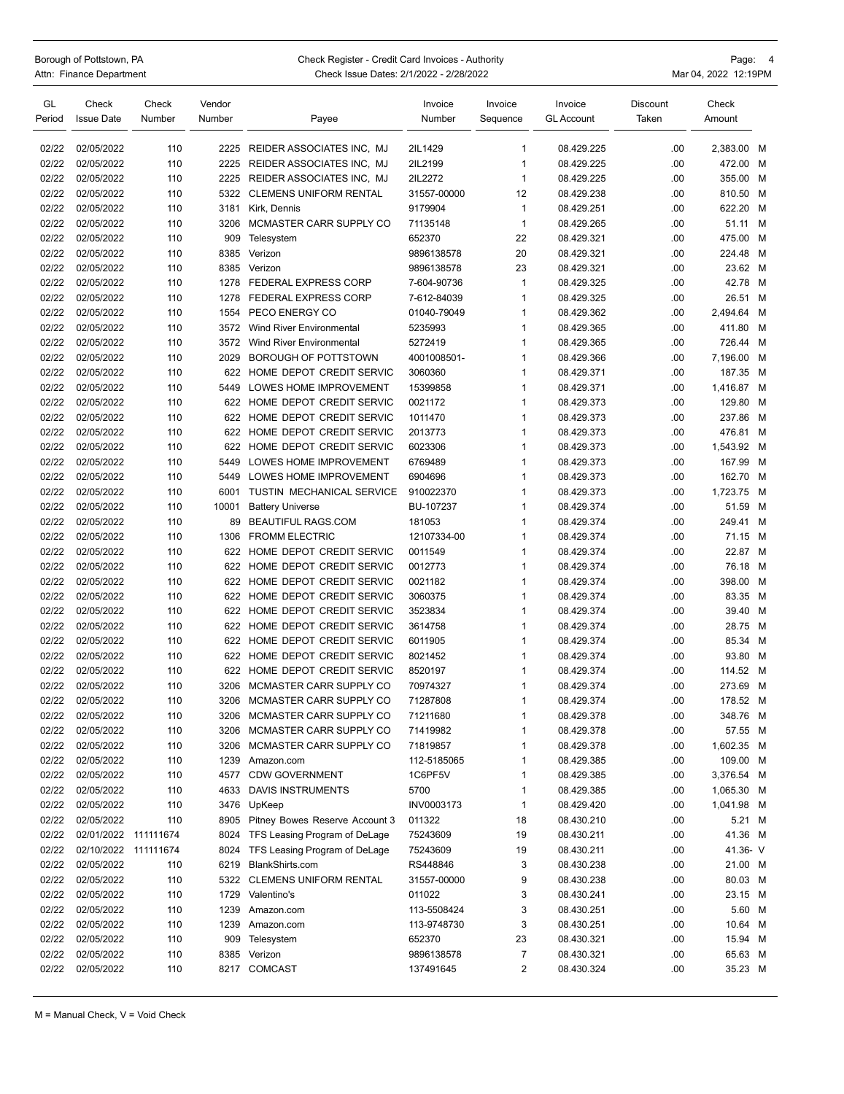## Borough of Pottstown, PA Check Register - Credit Card Invoices - Authority Page: 4<br>Attn: Finance Department Check Issue Dates: 2/1/2022 - 2/28/2022 Check Issue Dates: 2/1/2022 - 2/28/2022 Mar 04, 2022 12:19PM

| GL<br>Period | Check<br><b>Issue Date</b> | Check<br>Number | Vendor<br>Number | Payee                            | Invoice<br>Number | Invoice<br>Sequence | Invoice<br>GL Account | Discount<br>Taken | Check<br>Amount |   |
|--------------|----------------------------|-----------------|------------------|----------------------------------|-------------------|---------------------|-----------------------|-------------------|-----------------|---|
|              |                            |                 |                  |                                  |                   |                     |                       |                   |                 |   |
| 02/22        | 02/05/2022                 | 110             | 2225             | <b>REIDER ASSOCIATES INC. MJ</b> | 2IL1429           | 1                   | 08.429.225            | .00               | 2,383.00 M      |   |
| 02/22        | 02/05/2022                 | 110             | 2225             | REIDER ASSOCIATES INC, MJ        | 2IL2199           | 1                   | 08.429.225            | .00               | 472.00 M        |   |
| 02/22        | 02/05/2022                 | 110             | 2225             | REIDER ASSOCIATES INC, MJ        | 2IL2272           | $\mathbf{1}$        | 08.429.225            | .00               | 355.00 M        |   |
| 02/22        | 02/05/2022                 | 110             | 5322             | <b>CLEMENS UNIFORM RENTAL</b>    | 31557-00000       | 12                  | 08.429.238            | .00               | 810.50 M        |   |
| 02/22        | 02/05/2022                 | 110             | 3181             | Kirk, Dennis                     | 9179904           | $\mathbf{1}$        | 08.429.251            | .00               | 622.20          | м |
| 02/22        | 02/05/2022                 | 110             | 3206             | MCMASTER CARR SUPPLY CO          | 71135148          | $\mathbf{1}$        | 08.429.265            | .00               | 51.11 M         |   |
| 02/22        | 02/05/2022                 | 110             | 909              | Telesystem                       | 652370            | 22                  | 08.429.321            | .00               | 475.00          | M |
| 02/22        | 02/05/2022                 | 110             | 8385             | Verizon                          | 9896138578        | 20                  | 08.429.321            | .00               | 224.48          | M |
| 02/22        | 02/05/2022                 | 110             | 8385             | Verizon                          | 9896138578        | 23                  | 08.429.321            | .00               | 23.62 M         |   |
| 02/22        | 02/05/2022                 | 110             | 1278             | <b>FEDERAL EXPRESS CORP</b>      | 7-604-90736       | $\mathbf{1}$        | 08.429.325            | .00               | 42.78 M         |   |
| 02/22        | 02/05/2022                 | 110             | 1278             | <b>FEDERAL EXPRESS CORP</b>      | 7-612-84039       | 1                   | 08.429.325            | .00               | 26.51 M         |   |
| 02/22        | 02/05/2022                 | 110             | 1554             | PECO ENERGY CO                   | 01040-79049       | 1                   | 08.429.362            | .00               | 2,494.64        | M |
| 02/22        | 02/05/2022                 | 110             | 3572             | <b>Wind River Environmental</b>  | 5235993           | 1                   | 08.429.365            | .00               | 411.80 M        |   |
| 02/22        | 02/05/2022                 | 110             | 3572             | <b>Wind River Environmental</b>  | 5272419           | $\mathbf{1}$        | 08.429.365            | .00               | 726.44 M        |   |
| 02/22        | 02/05/2022                 | 110             | 2029             | BOROUGH OF POTTSTOWN             | 4001008501-       | 1                   | 08.429.366            | .00               | 7,196.00        | M |
| 02/22        | 02/05/2022                 | 110             | 622              | HOME DEPOT CREDIT SERVIC         | 3060360           | 1                   | 08.429.371            | .00               | 187.35 M        |   |
| 02/22        | 02/05/2022                 | 110             | 5449             | LOWES HOME IMPROVEMENT           | 15399858          | 1                   | 08.429.371            | .00               | 1,416.87 M      |   |
| 02/22        | 02/05/2022                 | 110             | 622              | HOME DEPOT CREDIT SERVIC         | 0021172           | 1                   | 08.429.373            | .00               | 129.80          | M |
| 02/22        | 02/05/2022                 | 110             | 622              | HOME DEPOT CREDIT SERVIC         | 1011470           | $\mathbf{1}$        | 08.429.373            | .00               | 237.86          | M |
| 02/22        | 02/05/2022                 | 110             | 622              | HOME DEPOT CREDIT SERVIC         | 2013773           | 1                   | 08.429.373            | .00               | 476.81 M        |   |
| 02/22        | 02/05/2022                 | 110             | 622              | HOME DEPOT CREDIT SERVIC         | 6023306           | 1                   | 08.429.373            | .00               | 1,543.92 M      |   |
| 02/22        | 02/05/2022                 | 110             | 5449             | LOWES HOME IMPROVEMENT           | 6769489           | 1                   | 08.429.373            | .00               | 167.99          | M |
| 02/22        | 02/05/2022                 | 110             | 5449             | LOWES HOME IMPROVEMENT           | 6904696           | 1                   | 08.429.373            | .00               | 162.70 M        |   |
| 02/22        | 02/05/2022                 | 110             | 6001             | TUSTIN MECHANICAL SERVICE        | 910022370         | $\mathbf{1}$        | 08.429.373            | .00               | 1,723.75 M      |   |
| 02/22        | 02/05/2022                 | 110             | 10001            | <b>Battery Universe</b>          | BU-107237         | 1                   | 08.429.374            | .00               | 51.59 M         |   |
| 02/22        | 02/05/2022                 | 110             | 89               | <b>BEAUTIFUL RAGS.COM</b>        | 181053            | 1                   | 08.429.374            | .00               | 249.41          | м |
| 02/22        | 02/05/2022                 | 110             | 1306             | <b>FROMM ELECTRIC</b>            | 12107334-00       | 1                   | 08.429.374            | .00               | 71.15 M         |   |
| 02/22        | 02/05/2022                 | 110             | 622              | HOME DEPOT CREDIT SERVIC         | 0011549           | 1                   | 08.429.374            | .00               | 22.87 M         |   |
| 02/22        | 02/05/2022                 | 110             | 622              | HOME DEPOT CREDIT SERVIC         | 0012773           | 1                   | 08.429.374            | .00               | 76.18           | M |
| 02/22        |                            |                 | 622              |                                  |                   |                     |                       |                   |                 |   |
|              | 02/05/2022                 | 110             |                  | HOME DEPOT CREDIT SERVIC         | 0021182           | 1                   | 08.429.374            | .00               | 398.00          | M |
| 02/22        | 02/05/2022                 | 110             | 622              | HOME DEPOT CREDIT SERVIC         | 3060375           | 1<br>1              | 08.429.374            | .00               | 83.35 M         |   |
| 02/22        | 02/05/2022                 | 110             | 622              | HOME DEPOT CREDIT SERVIC         | 3523834           |                     | 08.429.374            | .00               | 39.40 M         |   |
| 02/22        | 02/05/2022                 | 110             | 622              | HOME DEPOT CREDIT SERVIC         | 3614758           | 1                   | 08.429.374            | .00               | 28.75 M         |   |
| 02/22        | 02/05/2022                 | 110             | 622              | HOME DEPOT CREDIT SERVIC         | 6011905           | $\mathbf{1}$        | 08.429.374            | .00               | 85.34 M         |   |
| 02/22        | 02/05/2022                 | 110             | 622              | HOME DEPOT CREDIT SERVIC         | 8021452           | 1                   | 08.429.374            | .00               | 93.80 M         |   |
| 02/22        | 02/05/2022                 | 110             | 622              | HOME DEPOT CREDIT SERVIC         | 8520197           | 1                   | 08.429.374            | .00               | 114.52 M        |   |
| 02/22        | 02/05/2022                 | 110             | 3206             | MCMASTER CARR SUPPLY CO          | 70974327          | 1                   | 08.429.374            | .00               | 273.69 M        |   |
| 02/22        | 02/05/2022                 | 110             | 3206             | MCMASTER CARR SUPPLY CO          | 71287808          | 1                   | 08.429.374            | .00               | 178.52 M        |   |
| 02/22        | 02/05/2022                 | 110             | 3206             | MCMASTER CARR SUPPLY CO          | 71211680          | 1                   | 08.429.378            | .00               | 348.76 M        |   |
| 02/22        | 02/05/2022                 | 110             | 3206             | MCMASTER CARR SUPPLY CO          | 71419982          | 1                   | 08.429.378            | .00               | 57.55 M         |   |
| 02/22        | 02/05/2022                 | 110             | 3206             | MCMASTER CARR SUPPLY CO          | 71819857          | 1                   | 08.429.378            | .00               | 1,602.35 M      |   |
| 02/22        | 02/05/2022                 | 110             | 1239             | Amazon.com                       | 112-5185065       | 1                   | 08.429.385            | .00               | 109.00 M        |   |
| 02/22        | 02/05/2022                 | 110             | 4577             | <b>CDW GOVERNMENT</b>            | 1C6PF5V           | 1                   | 08.429.385            | .00               | 3,376.54 M      |   |
| 02/22        | 02/05/2022                 | 110             | 4633             | DAVIS INSTRUMENTS                | 5700              | 1                   | 08.429.385            | .00               | 1,065.30 M      |   |
| 02/22        | 02/05/2022                 | 110             | 3476             | UpKeep                           | INV0003173        | 1                   | 08.429.420            | .00               | 1,041.98 M      |   |
| 02/22        | 02/05/2022                 | 110             | 8905             | Pitney Bowes Reserve Account 3   | 011322            | 18                  | 08.430.210            | .00               | 5.21 M          |   |
| 02/22        | 02/01/2022 111111674       |                 | 8024             | TFS Leasing Program of DeLage    | 75243609          | 19                  | 08.430.211            | .00               | 41.36 M         |   |
| 02/22        | 02/10/2022 111111674       |                 | 8024             | TFS Leasing Program of DeLage    | 75243609          | 19                  | 08.430.211            | .00               | 41.36- V        |   |
| 02/22        | 02/05/2022                 | 110             | 6219             | BlankShirts.com                  | RS448846          | 3                   | 08.430.238            | .00               | 21.00 M         |   |
| 02/22        | 02/05/2022                 | 110             | 5322             | <b>CLEMENS UNIFORM RENTAL</b>    | 31557-00000       | 9                   | 08.430.238            | .00               | 80.03 M         |   |
| 02/22        | 02/05/2022                 | 110             |                  | 1729 Valentino's                 | 011022            | 3                   | 08.430.241            | .00               | 23.15 M         |   |
| 02/22        | 02/05/2022                 | 110             | 1239             | Amazon.com                       | 113-5508424       | 3                   | 08.430.251            | .00               | 5.60 M          |   |
| 02/22        | 02/05/2022                 | 110             | 1239             | Amazon.com                       | 113-9748730       | 3                   | 08.430.251            | .00               | 10.64 M         |   |
| 02/22        | 02/05/2022                 | 110             | 909              | Telesystem                       | 652370            | 23                  | 08.430.321            | .00               | 15.94 M         |   |
| 02/22        | 02/05/2022                 | 110             | 8385             | Verizon                          | 9896138578        | 7                   | 08.430.321            | .00               | 65.63 M         |   |
| 02/22        | 02/05/2022                 | 110             |                  | 8217 COMCAST                     | 137491645         | 2                   | 08.430.324            | .00               | 35.23 M         |   |
|              |                            |                 |                  |                                  |                   |                     |                       |                   |                 |   |

M = Manual Check, V = Void Check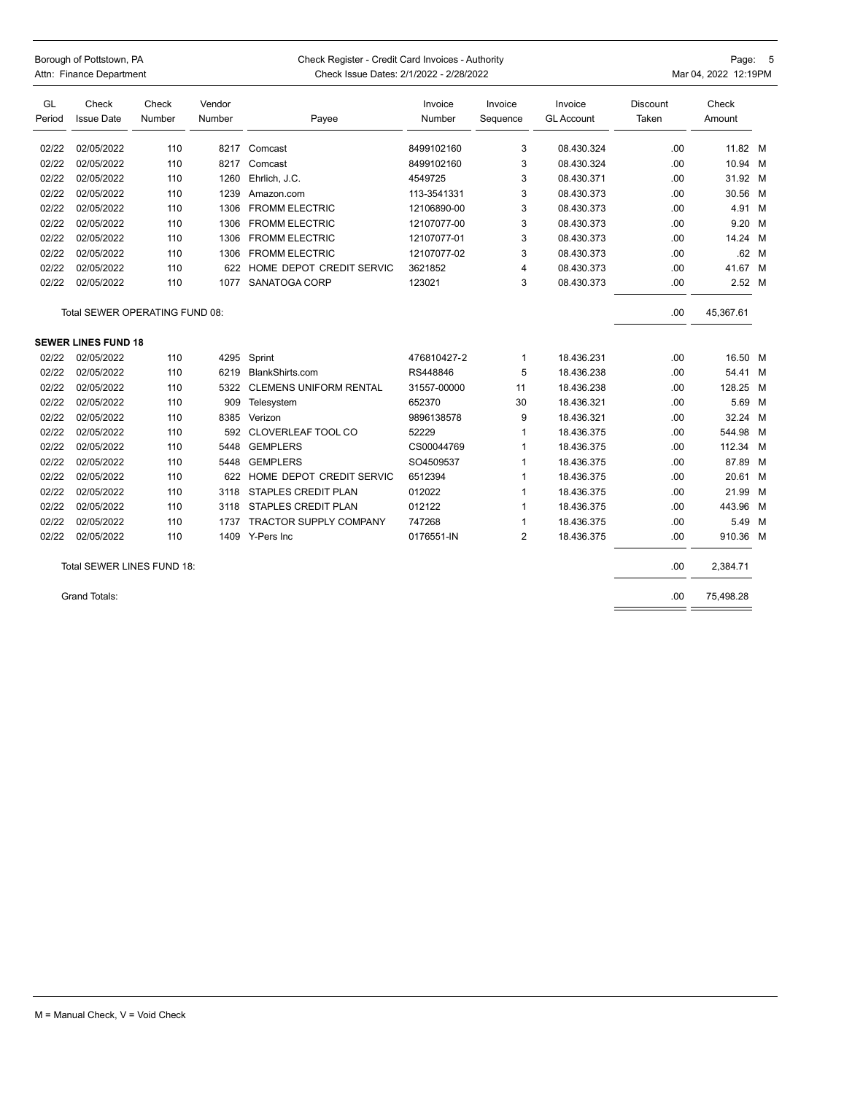| Borough of Pottstown, PA<br>Attn: Finance Department |                                |                 | Check Register - Credit Card Invoices - Authority<br>Check Issue Dates: 2/1/2022 - 2/28/2022 |                               |                   |                     |                              | Page: 5<br>Mar 04, 2022 12:19PM |                 |       |
|------------------------------------------------------|--------------------------------|-----------------|----------------------------------------------------------------------------------------------|-------------------------------|-------------------|---------------------|------------------------------|---------------------------------|-----------------|-------|
| GL<br>Period                                         | Check<br><b>Issue Date</b>     | Check<br>Number | Vendor<br>Number                                                                             | Payee                         | Invoice<br>Number | Invoice<br>Sequence | Invoice<br><b>GL Account</b> | Discount<br>Taken               | Check<br>Amount |       |
| 02/22                                                | 02/05/2022                     | 110             | 8217                                                                                         | Comcast                       | 8499102160        | 3                   | 08.430.324                   | .00                             | 11.82 M         |       |
| 02/22                                                | 02/05/2022                     | 110             | 8217                                                                                         | Comcast                       | 8499102160        | 3                   | 08.430.324                   | .00                             | 10.94 M         |       |
| 02/22                                                | 02/05/2022                     | 110             | 1260                                                                                         | Ehrlich, J.C.                 | 4549725           | 3                   | 08.430.371                   | .00                             | 31.92 M         |       |
| 02/22                                                | 02/05/2022                     | 110             | 1239                                                                                         | Amazon.com                    | 113-3541331       | 3                   | 08.430.373                   | .00                             | 30.56 M         |       |
| 02/22                                                | 02/05/2022                     | 110             | 1306                                                                                         | <b>FROMM ELECTRIC</b>         | 12106890-00       | 3                   | 08.430.373                   | .00                             | 4.91 M          |       |
| 02/22                                                | 02/05/2022                     | 110             | 1306                                                                                         | <b>FROMM ELECTRIC</b>         | 12107077-00       | 3                   | 08.430.373                   | .00                             | 9.20 M          |       |
| 02/22                                                | 02/05/2022                     | 110             | 1306                                                                                         | <b>FROMM ELECTRIC</b>         | 12107077-01       | 3                   | 08.430.373                   | .00                             | 14.24 M         |       |
| 02/22                                                | 02/05/2022                     | 110             | 1306                                                                                         | <b>FROMM ELECTRIC</b>         | 12107077-02       | 3                   | 08.430.373                   | .00                             |                 | .62 M |
| 02/22                                                | 02/05/2022                     | 110             | 622                                                                                          | HOME DEPOT CREDIT SERVIC      | 3621852           | 4                   | 08.430.373                   | .00                             | 41.67           | M     |
| 02/22                                                | 02/05/2022                     | 110             | 1077                                                                                         | SANATOGA CORP                 | 123021            | 3                   | 08.430.373                   | .00                             | 2.52 M          |       |
|                                                      | Total SEWER OPERATING FUND 08: |                 |                                                                                              |                               |                   |                     |                              | .00                             | 45,367.61       |       |
|                                                      | <b>SEWER LINES FUND 18</b>     |                 |                                                                                              |                               |                   |                     |                              |                                 |                 |       |
| 02/22                                                | 02/05/2022                     | 110             | 4295                                                                                         | Sprint                        | 476810427-2       | $\mathbf{1}$        | 18.436.231                   | .00                             | 16.50 M         |       |
| 02/22                                                | 02/05/2022                     | 110             | 6219                                                                                         | BlankShirts.com               | RS448846          | 5                   | 18.436.238                   | .00                             | 54.41           | M     |
| 02/22                                                | 02/05/2022                     | 110             | 5322                                                                                         | <b>CLEMENS UNIFORM RENTAL</b> | 31557-00000       | 11                  | 18.436.238                   | .00                             | 128.25 M        |       |
| 02/22                                                | 02/05/2022                     | 110             | 909                                                                                          | Telesystem                    | 652370            | 30                  | 18.436.321                   | .00                             | 5.69 M          |       |
| 02/22                                                | 02/05/2022                     | 110             | 8385                                                                                         | Verizon                       | 9896138578        | 9                   | 18.436.321                   | .00                             | 32.24 M         |       |
| 02/22                                                | 02/05/2022                     | 110             | 592                                                                                          | CLOVERLEAF TOOL CO            | 52229             | 1                   | 18.436.375                   | .00                             | 544.98          | M     |
| 02/22                                                | 02/05/2022                     | 110             | 5448                                                                                         | <b>GEMPLERS</b>               | CS00044769        | 1                   | 18.436.375                   | .00                             | 112.34          | м     |
| 02/22                                                | 02/05/2022                     | 110             | 5448                                                                                         | <b>GEMPLERS</b>               | SO4509537         | 1                   | 18.436.375                   | .00                             | 87.89           | M     |
| 02/22                                                | 02/05/2022                     | 110             | 622                                                                                          | HOME DEPOT CREDIT SERVIC      | 6512394           | 1                   | 18.436.375                   | .00                             | 20.61           | м     |
| 02/22                                                | 02/05/2022                     | 110             | 3118                                                                                         | <b>STAPLES CREDIT PLAN</b>    | 012022            | $\mathbf{1}$        | 18.436.375                   | .00                             | 21.99           | м     |
| 02/22                                                | 02/05/2022                     | 110             | 3118                                                                                         | STAPLES CREDIT PLAN           | 012122            | 1                   | 18.436.375                   | .00                             | 443.96          | M     |
| 02/22                                                | 02/05/2022                     | 110             | 1737                                                                                         | <b>TRACTOR SUPPLY COMPANY</b> | 747268            | 1                   | 18.436.375                   | .00                             | 5.49            | M     |
| 02/22                                                | 02/05/2022                     | 110             | 1409                                                                                         | Y-Pers Inc                    | 0176551-IN        | $\overline{2}$      | 18.436.375                   | .00                             | 910.36 M        |       |
|                                                      | Total SEWER LINES FUND 18:     |                 |                                                                                              |                               |                   |                     |                              | .00                             | 2,384.71        |       |
|                                                      | <b>Grand Totals:</b>           |                 |                                                                                              |                               |                   |                     |                              | .00                             | 75,498.28       |       |